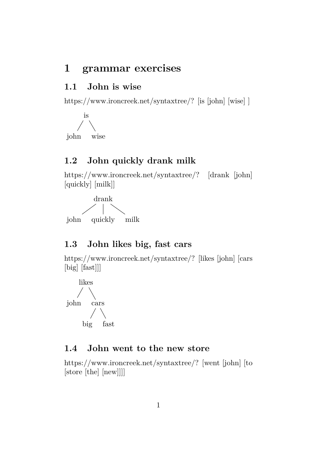# **1 grammar exercises**

### **1.1 John is wise**

[https://www.ironcreek.net/syntaxtree/? \[is \[john\] \[wise\] \]](https://www.ironcreek.net/syntaxtree/? [is [john] [wise] ] )



### **1.2 John quickly drank milk**

[https://www.ironcreek.net/syntaxtree/? \[drank \[john\]](https://www.ironcreek.net/syntaxtree/? [drank [john] [quickly] [milk]] ) [\[quickly\] \[milk\]\]](https://www.ironcreek.net/syntaxtree/? [drank [john] [quickly] [milk]] )



### **1.3 John likes big, fast cars**

[https://www.ironcreek.net/syntaxtree/? \[likes \[john\] \[cars](https://www.ironcreek.net/syntaxtree/? [likes [john] [cars [big] [fast]]] ) [\[big\] \[fast\]\]\]](https://www.ironcreek.net/syntaxtree/? [likes [john] [cars [big] [fast]]] )



### **1.4 John went to the new store**

[https://www.ironcreek.net/syntaxtree/? \[went \[john\] \[to](https://www.ironcreek.net/syntaxtree/? [went [john] [to [store [the] [new]]]] ) [\[store \[the\] \[new\]\]\]\]](https://www.ironcreek.net/syntaxtree/? [went [john] [to [store [the] [new]]]] )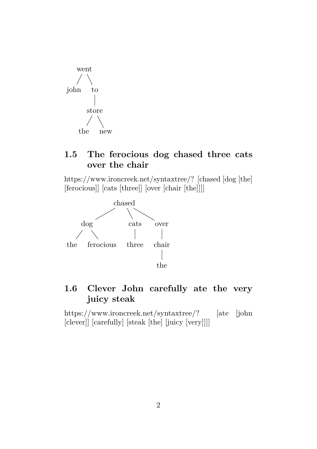

## **1.5 The ferocious dog chased three cats over the chair**

[https://www.ironcreek.net/syntaxtree/? \[chased \[dog \[the\]](https://www.ironcreek.net/syntaxtree/? [chased [dog [the] [ferocious]] [cats [three]] [over [chair [the]]]] ) [\[ferocious\]\] \[cats \[three\]\] \[over \[chair \[the\]\]\]\]](https://www.ironcreek.net/syntaxtree/? [chased [dog [the] [ferocious]] [cats [three]] [over [chair [the]]]] )



## **1.6 Clever John carefully ate the very juicy steak**

[https://www.ironcreek.net/syntaxtree/? \[ate \[john](https://www.ironcreek.net/syntaxtree/? [ate [john [clever]] [carefully] [steak [the] [juicy [very]]]] )] [\[clever\]\] \[carefully\] \[steak \[the\] \[juicy \[very\]\]\]\]](https://www.ironcreek.net/syntaxtree/? [ate [john [clever]] [carefully] [steak [the] [juicy [very]]]] )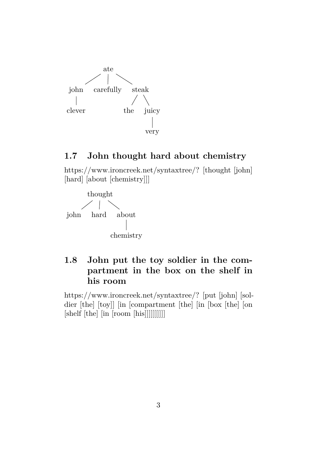

### **1.7 John thought hard about chemistry**

[https://www.ironcreek.net/syntaxtree/? \[thought \[john\]](https://www.ironcreek.net/syntaxtree/? [thought [john] [hard] [about [chemistry]]] ) [\[hard\] \[about \[chemistry\]\]\]](https://www.ironcreek.net/syntaxtree/? [thought [john] [hard] [about [chemistry]]] )



## **1.8 John put the toy soldier in the compartment in the box on the shelf in his room**

[https://www.ironcreek.net/syntaxtree/? \[put \[john\] \[sol](https://www.ironcreek.net/syntaxtree/? [put [john] [soldier [the] [toy]] [in [compartment [the] [in [box [the] [on [shelf [the] [in [room [his]]]]]]]]]] )[dier \[the\] \[toy\]\] \[in \[compartment \[the\] \[in \[box \[the\] \[on](https://www.ironcreek.net/syntaxtree/? [put [john] [soldier [the] [toy]] [in [compartment [the] [in [box [the] [on [shelf [the] [in [room [his]]]]]]]]]] ) [\[shelf \[the\] \[in \[room \[his\]\]\]\]\]\]\]\]\]\]](https://www.ironcreek.net/syntaxtree/? [put [john] [soldier [the] [toy]] [in [compartment [the] [in [box [the] [on [shelf [the] [in [room [his]]]]]]]]]] )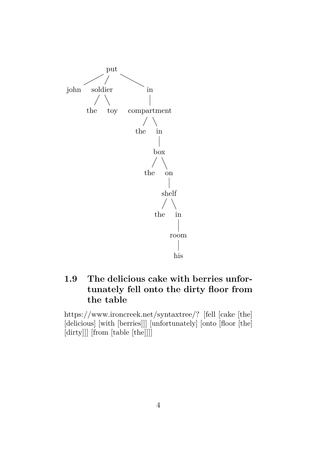

# **1.9 The delicious cake with berries unfortunately fell onto the dirty floor from the table**

[https://www.ironcreek.net/syntaxtree/? \[fell \[cake \[the\]](https://www.ironcreek.net/syntaxtree/? [fell [cake [the] [delicious] [with [berries]]] [unfortunately] [onto [floor [the] [dirty]]] [from [table [the]]]] ) [\[delicious\] \[with \[berries\]\]\] \[unfortunately\] \[onto \[floor \[the\]](https://www.ironcreek.net/syntaxtree/? [fell [cake [the] [delicious] [with [berries]]] [unfortunately] [onto [floor [the] [dirty]]] [from [table [the]]]] ) [\[dirty\]\]\] \[from \[table \[the\]\]\]\]](https://www.ironcreek.net/syntaxtree/? [fell [cake [the] [delicious] [with [berries]]] [unfortunately] [onto [floor [the] [dirty]]] [from [table [the]]]] )